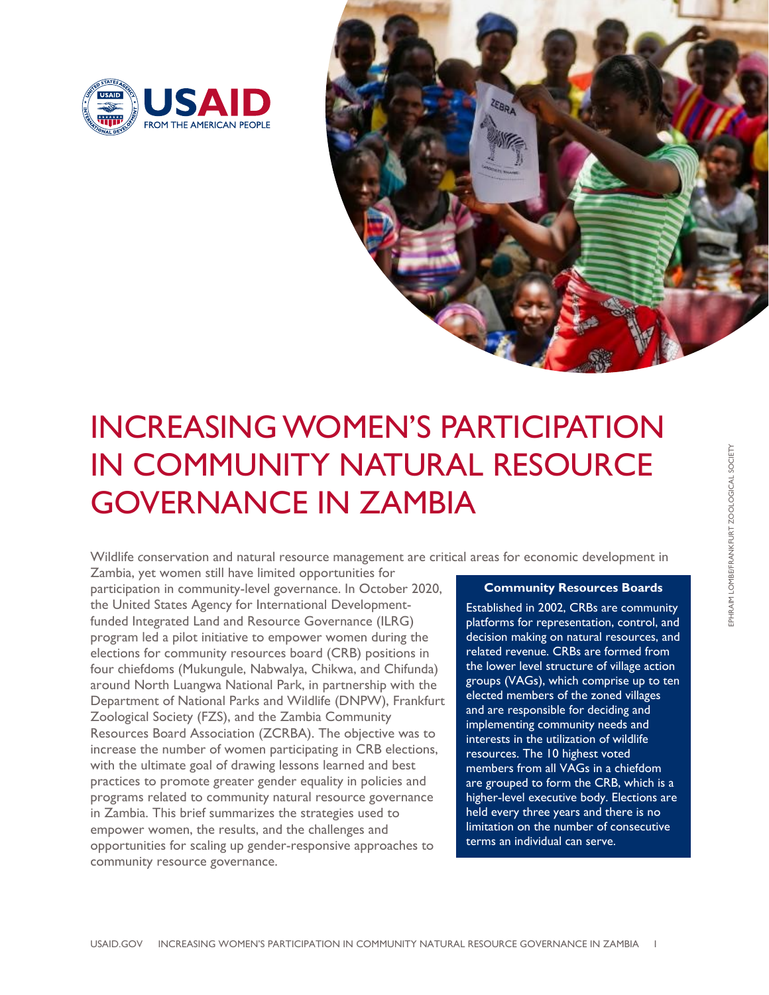



# INCREASING WOMEN'S PARTICIPATION IN COMMUNITY NATURAL RESOURCE GOVERNANCE IN ZAMBIA

Wildlife *c*onservation and natural resource management are critical areas for economic development in

Zambia, yet women still have limited opportunities for participation in community-level governance. In October 2020, the United States Agency for International Developmentfunded Integrated Land and Resource Governance (ILRG) program led a pilot initiative to empower women during the elections for community resources board (CRB) positions in four chiefdoms (Mukungule, Nabwalya, Chikwa, and Chifunda) around North Luangwa National Park, in partnership with the Department of National Parks and Wildlife (DNPW), Frankfurt Zoological Society (FZS), and the Zambia Community Resources Board Association (ZCRBA). The objective was to increase the number of women participating in CRB elections, with the ultimate goal of drawing lessons learned and best practices to promote greater gender equality in policies and programs related to community natural resource governance in Zambia. This brief summarizes the strategies used to empower women, the results, and the challenges and opportunities for scaling up gender-responsive approaches to community resource governance.

#### **Community Resources Boards**

Established in 2002, CRBs are community platforms for representation, control, and decision making on natural resources, and related revenue. CRBs are formed from the lower level structure of village action groups (VAGs), which comprise up to ten elected members of the zoned villages and are responsible for deciding and implementing community needs and interests in the utilization of wildlife resources. The 10 highest voted members from all VAGs in a chiefdom are grouped to form the CRB, which is a higher-level executive body. Elections are held every three years and there is no limitation on the number of consecutive terms an individual can serve.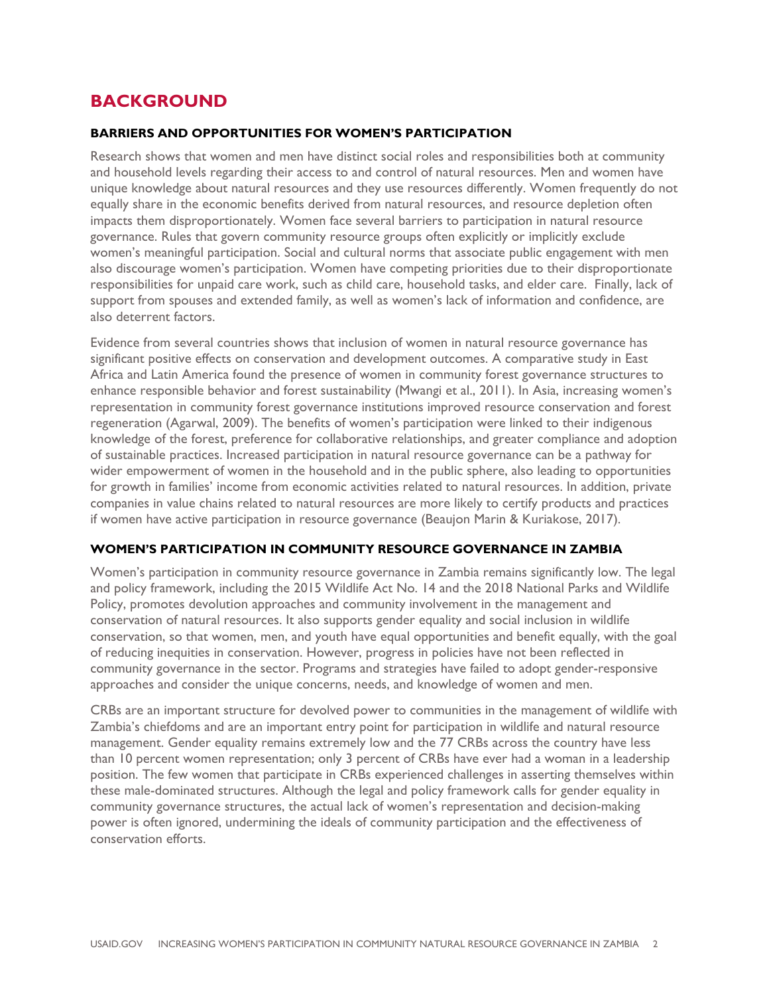## **BACKGROUND**

#### **BARRIERS AND OPPORTUNITIES FOR WOMEN'S PARTICIPATION**

Research shows that women and men have distinct social roles and responsibilities both at community and household levels regarding their access to and control of natural resources. Men and women have unique knowledge about natural resources and they use resources differently. Women frequently do not equally share in the economic benefits derived from natural resources, and resource depletion often impacts them disproportionately. Women face several barriers to participation in natural resource governance. Rules that govern community resource groups often explicitly or implicitly exclude women's meaningful participation. Social and cultural norms that associate public engagement with men also discourage women's participation. Women have competing priorities due to their disproportionate responsibilities for unpaid care work, such as child care, household tasks, and elder care. Finally, lack of support from spouses and extended family, as well as women's lack of information and confidence, are also deterrent factors.

Evidence from several countries shows that inclusion of women in natural resource governance has significant positive effects on conservation and development outcomes. A comparative study in East Africa and Latin America found the presence of women in community forest governance structures to enhance responsible behavior and forest sustainability (Mwangi et al., 2011). In Asia, increasing women's representation in community forest governance institutions improved resource conservation and forest regeneration (Agarwal, 2009). The benefits of women's participation were linked to their indigenous knowledge of the forest, preference for collaborative relationships, and greater compliance and adoption of sustainable practices. Increased participation in natural resource governance can be a pathway for wider empowerment of women in the household and in the public sphere, also leading to opportunities for growth in families' income from economic activities related to natural resources. In addition, private companies in value chains related to natural resources are more likely to certify products and practices if women have active participation in resource governance (Beaujon Marin & Kuriakose, 2017).

#### **WOMEN'S PARTICIPATION IN COMMUNITY RESOURCE GOVERNANCE IN ZAMBIA**

Women's participation in community resource governance in Zambia remains significantly low. The legal and policy framework, including the 2015 Wildlife Act No. 14 and the 2018 National Parks and Wildlife Policy, promotes devolution approaches and community involvement in the management and conservation of natural resources. It also supports gender equality and social inclusion in wildlife conservation, so that women, men, and youth have equal opportunities and benefit equally, with the goal of reducing inequities in conservation. However, progress in policies have not been reflected in community governance in the sector. Programs and strategies have failed to adopt gender-responsive approaches and consider the unique concerns, needs, and knowledge of women and men.

CRBs are an important structure for devolved power to communities in the management of wildlife with Zambia's chiefdoms and are an important entry point for participation in wildlife and natural resource management. Gender equality remains extremely low and the 77 CRBs across the country have less than 10 percent women representation; only 3 percent of CRBs have ever had a woman in a leadership position. The few women that participate in CRBs experienced challenges in asserting themselves within these male-dominated structures. Although the legal and policy framework calls for gender equality in community governance structures, the actual lack of women's representation and decision-making power is often ignored, undermining the ideals of community participation and the effectiveness of conservation efforts.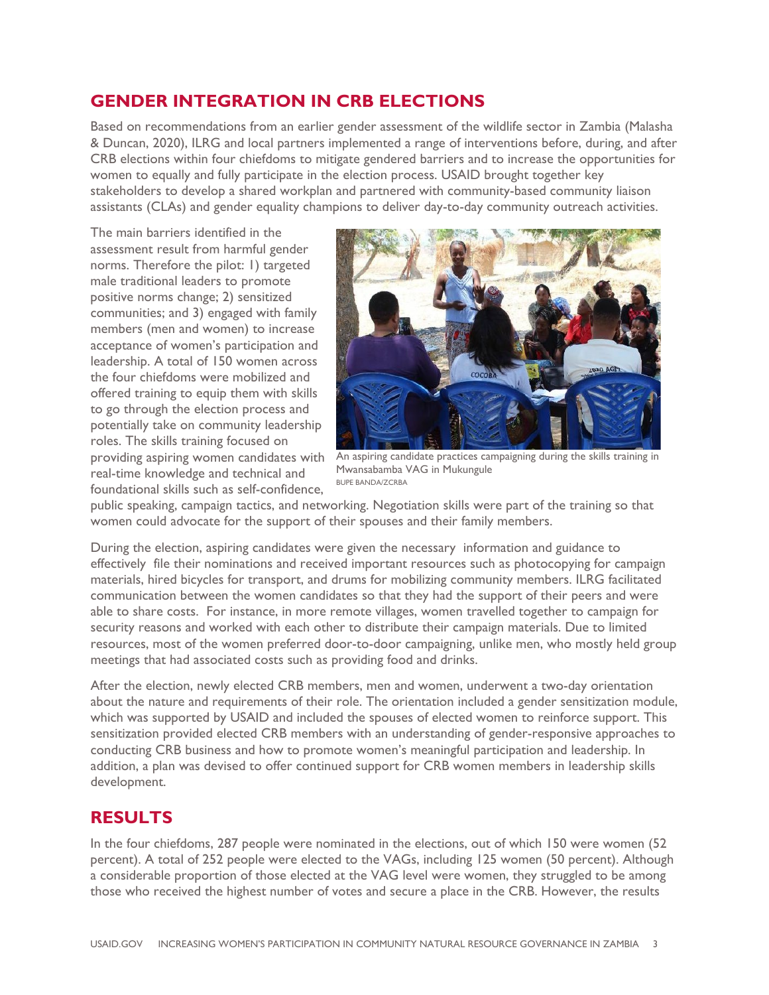## **GENDER INTEGRATION IN CRB ELECTIONS**

Based on recommendations from an earlier gender assessment of the wildlife sector in Zambia (Malasha & Duncan, 2020), ILRG and local partners implemented a range of interventions before, during, and after CRB elections within four chiefdoms to mitigate gendered barriers and to increase the opportunities for women to equally and fully participate in the election process. USAID brought together key stakeholders to develop a shared workplan and partnered with community-based community liaison assistants (CLAs) and gender equality champions to deliver day-to-day community outreach activities.

The main barriers identified in the assessment result from harmful gender norms. Therefore the pilot: 1) targeted male traditional leaders to promote positive norms change; 2) sensitized communities; and 3) engaged with family members (men and women) to increase acceptance of women's participation and leadership. A total of 150 women across the four chiefdoms were mobilized and offered training to equip them with skills to go through the election process and potentially take on community leadership roles. The skills training focused on providing aspiring women candidates with real-time knowledge and technical and foundational skills such as self-confidence,



An aspiring candidate practices campaigning during the skills training in Mwansabamba VAG in Mukungule BUPE BANDA/ZCRBA

public speaking, campaign tactics, and networking. Negotiation skills were part of the training so that women could advocate for the support of their spouses and their family members.

During the election, aspiring candidates were given the necessary information and guidance to effectively file their nominations and received important resources such as photocopying for campaign materials, hired bicycles for transport, and drums for mobilizing community members. ILRG facilitated communication between the women candidates so that they had the support of their peers and were able to share costs. For instance, in more remote villages, women travelled together to campaign for security reasons and worked with each other to distribute their campaign materials. Due to limited resources, most of the women preferred door-to-door campaigning, unlike men, who mostly held group meetings that had associated costs such as providing food and drinks.

After the election, newly elected CRB members, men and women, underwent a two-day orientation about the nature and requirements of their role. The orientation included a gender sensitization module, which was supported by USAID and included the spouses of elected women to reinforce support. This sensitization provided elected CRB members with an understanding of gender-responsive approaches to conducting CRB business and how to promote women's meaningful participation and leadership. In addition, a plan was devised to offer continued support for CRB women members in leadership skills development.

## **RESULTS**

In the four chiefdoms, 287 people were nominated in the elections, out of which 150 were women (52 percent). A total of 252 people were elected to the VAGs, including 125 women (50 percent). Although a considerable proportion of those elected at the VAG level were women, they struggled to be among those who received the highest number of votes and secure a place in the CRB. However, the results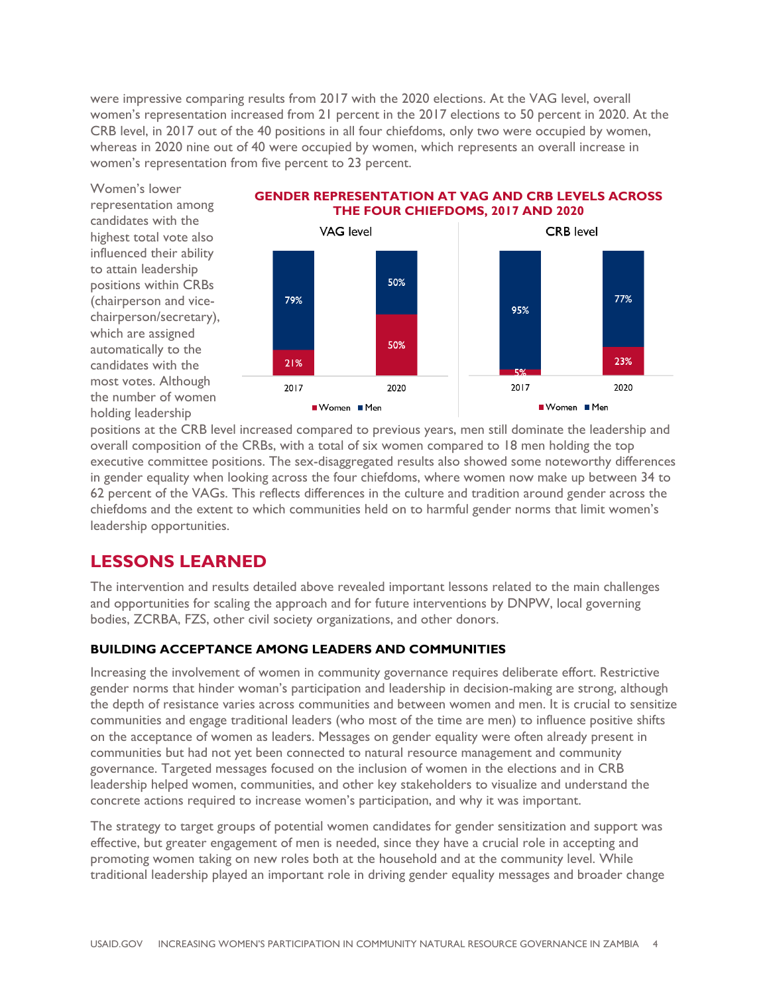were impressive comparing results from 2017 with the 2020 elections. At the VAG level, overall women's representation increased from 21 percent in the 2017 elections to 50 percent in 2020. At the CRB level, in 2017 out of the 40 positions in all four chiefdoms, only two were occupied by women, whereas in 2020 nine out of 40 were occupied by women, which represents an overall increase in women's representation from five percent to 23 percent.

Women's lower representation among candidates with the highest total vote also influenced their ability to attain leadership positions within CRBs (chairperson and vicechairperson/secretary), which are assigned automatically to the candidates with the most votes. Although the number of women holding leadership



**GENDER REPRESENTATION AT VAG AND CRB LEVELS ACROSS** 

positions at the CRB level increased compared to previous years, men still dominate the leadership and overall composition of the CRBs, with a total of six women compared to 18 men holding the top executive committee positions. The sex-disaggregated results also showed some noteworthy differences in gender equality when looking across the four chiefdoms, where women now make up between 34 to 62 percent of the VAGs. This reflects differences in the culture and tradition around gender across the chiefdoms and the extent to which communities held on to harmful gender norms that limit women's leadership opportunities.

## **LESSONS LEARNED**

The intervention and results detailed above revealed important lessons related to the main challenges and opportunities for scaling the approach and for future interventions by DNPW, local governing bodies, ZCRBA, FZS, other civil society organizations, and other donors.

#### **BUILDING ACCEPTANCE AMONG LEADERS AND COMMUNITIES**

Increasing the involvement of women in community governance requires deliberate effort. Restrictive gender norms that hinder woman's participation and leadership in decision-making are strong, although the depth of resistance varies across communities and between women and men. It is crucial to sensitize communities and engage traditional leaders (who most of the time are men) to influence positive shifts on the acceptance of women as leaders. Messages on gender equality were often already present in communities but had not yet been connected to natural resource management and community governance. Targeted messages focused on the inclusion of women in the elections and in CRB leadership helped women, communities, and other key stakeholders to visualize and understand the concrete actions required to increase women's participation, and why it was important.

The strategy to target groups of potential women candidates for gender sensitization and support was effective, but greater engagement of men is needed, since they have a crucial role in accepting and promoting women taking on new roles both at the household and at the community level. While traditional leadership played an important role in driving gender equality messages and broader change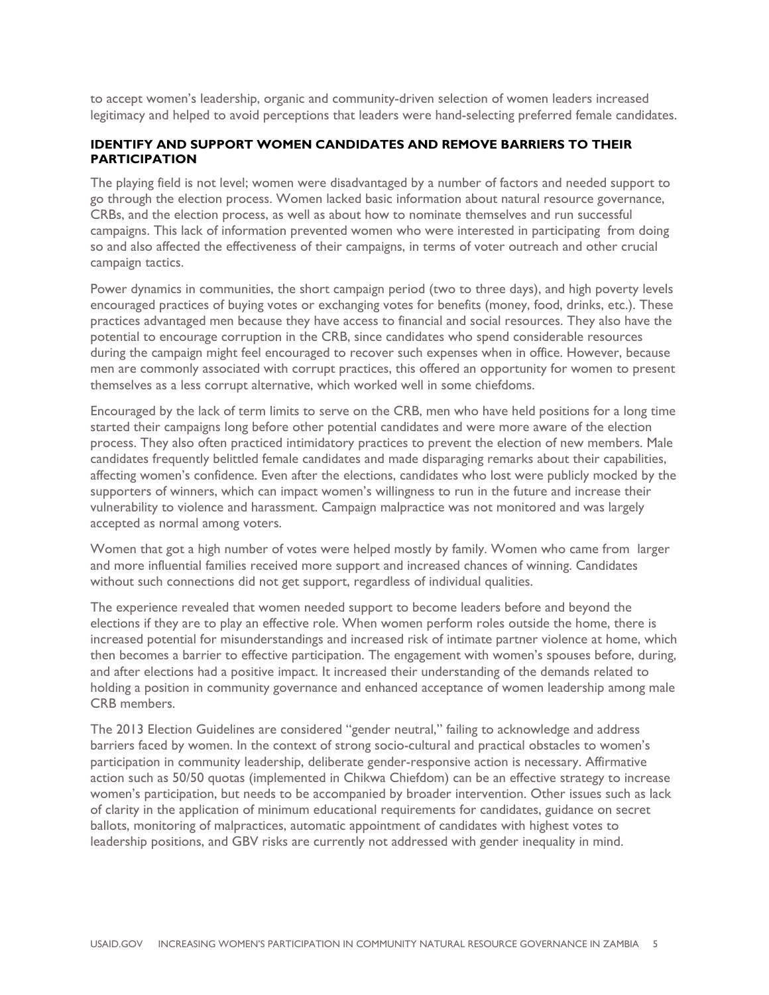to accept women's leadership, organic and community-driven selection of women leaders increased legitimacy and helped to avoid perceptions that leaders were hand-selecting preferred female candidates.

### **IDENTIFY AND SUPPORT WOMEN CANDIDATES AND REMOVE BARRIERS TO THEIR PARTICIPATION**

The playing field is not level; women were disadvantaged by a number of factors and needed support to go through the election process. Women lacked basic information about natural resource governance, CRBs, and the election process, as well as about how to nominate themselves and run successful campaigns. This lack of information prevented women who were interested in participating from doing so and also affected the effectiveness of their campaigns, in terms of voter outreach and other crucial campaign tactics.

Power dynamics in communities, the short campaign period (two to three days), and high poverty levels encouraged practices of buying votes or exchanging votes for benefits (money, food, drinks, etc.). These practices advantaged men because they have access to financial and social resources. They also have the potential to encourage corruption in the CRB, since candidates who spend considerable resources during the campaign might feel encouraged to recover such expenses when in office. However, because men are commonly associated with corrupt practices, this offered an opportunity for women to present themselves as a less corrupt alternative, which worked well in some chiefdoms.

Encouraged by the lack of term limits to serve on the CRB, men who have held positions for a long time started their campaigns long before other potential candidates and were more aware of the election process. They also often practiced intimidatory practices to prevent the election of new members. Male candidates frequently belittled female candidates and made disparaging remarks about their capabilities, affecting women's confidence. Even after the elections, candidates who lost were publicly mocked by the supporters of winners, which can impact women's willingness to run in the future and increase their vulnerability to violence and harassment. Campaign malpractice was not monitored and was largely accepted as normal among voters.

Women that got a high number of votes were helped mostly by family. Women who came from larger and more influential families received more support and increased chances of winning. Candidates without such connections did not get support, regardless of individual qualities.

The experience revealed that women needed support to become leaders before and beyond the elections if they are to play an effective role. When women perform roles outside the home, there is increased potential for misunderstandings and increased risk of intimate partner violence at home, which then becomes a barrier to effective participation. The engagement with women's spouses before, during, and after elections had a positive impact. It increased their understanding of the demands related to holding a position in community governance and enhanced acceptance of women leadership among male CRB members.

The 2013 Election Guidelines are considered "gender neutral," failing to acknowledge and address barriers faced by women. In the context of strong socio-cultural and practical obstacles to women's participation in community leadership, deliberate gender-responsive action is necessary. Affirmative action such as 50/50 quotas (implemented in Chikwa Chiefdom) can be an effective strategy to increase women's participation, but needs to be accompanied by broader intervention. Other issues such as lack of clarity in the application of minimum educational requirements for candidates, guidance on secret ballots, monitoring of malpractices, automatic appointment of candidates with highest votes to leadership positions, and GBV risks are currently not addressed with gender inequality in mind.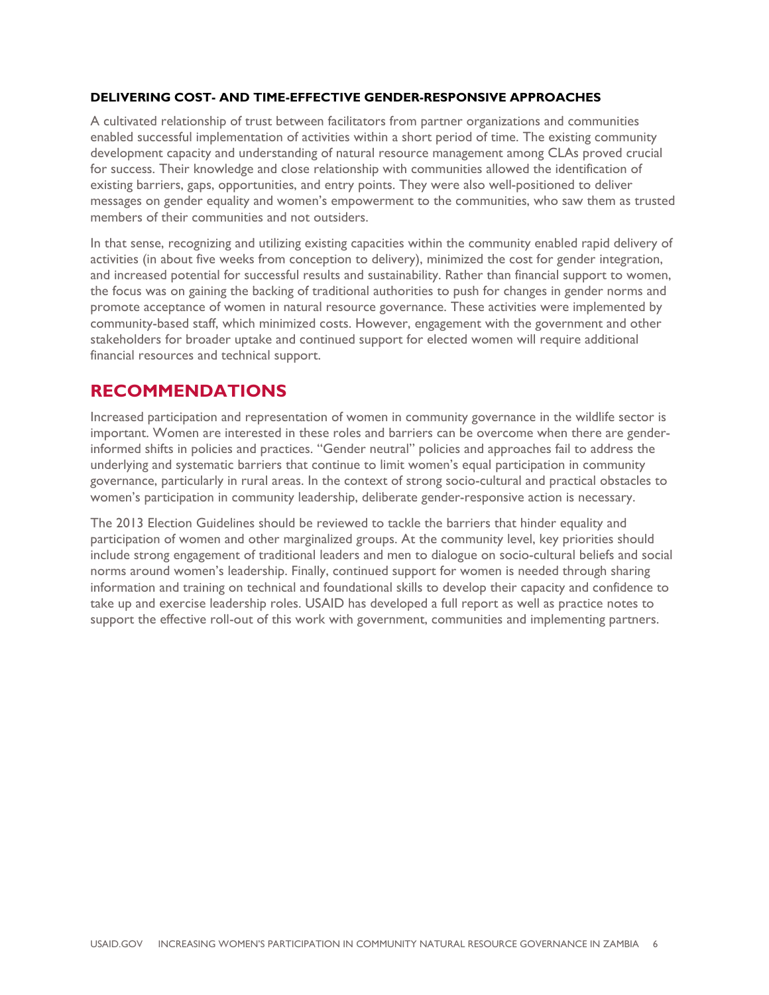#### **DELIVERING COST- AND TIME-EFFECTIVE GENDER-RESPONSIVE APPROACHES**

A cultivated relationship of trust between facilitators from partner organizations and communities enabled successful implementation of activities within a short period of time. The existing community development capacity and understanding of natural resource management among CLAs proved crucial for success. Their knowledge and close relationship with communities allowed the identification of existing barriers, gaps, opportunities, and entry points. They were also well-positioned to deliver messages on gender equality and women's empowerment to the communities, who saw them as trusted members of their communities and not outsiders.

In that sense, recognizing and utilizing existing capacities within the community enabled rapid delivery of activities (in about five weeks from conception to delivery), minimized the cost for gender integration, and increased potential for successful results and sustainability. Rather than financial support to women, the focus was on gaining the backing of traditional authorities to push for changes in gender norms and promote acceptance of women in natural resource governance. These activities were implemented by community-based staff, which minimized costs. However, engagement with the government and other stakeholders for broader uptake and continued support for elected women will require additional financial resources and technical support.

## **RECOMMENDATIONS**

Increased participation and representation of women in community governance in the wildlife sector is important. Women are interested in these roles and barriers can be overcome when there are genderinformed shifts in policies and practices. "Gender neutral" policies and approaches fail to address the underlying and systematic barriers that continue to limit women's equal participation in community governance, particularly in rural areas. In the context of strong socio-cultural and practical obstacles to women's participation in community leadership, deliberate gender-responsive action is necessary.

The 2013 Election Guidelines should be reviewed to tackle the barriers that hinder equality and participation of women and other marginalized groups. At the community level, key priorities should include strong engagement of traditional leaders and men to dialogue on socio-cultural beliefs and social norms around women's leadership. Finally, continued support for women is needed through sharing information and training on technical and foundational skills to develop their capacity and confidence to take up and exercise leadership roles. USAID has developed a full report as well as practice notes to support the effective roll-out of this work with government, communities and implementing partners.